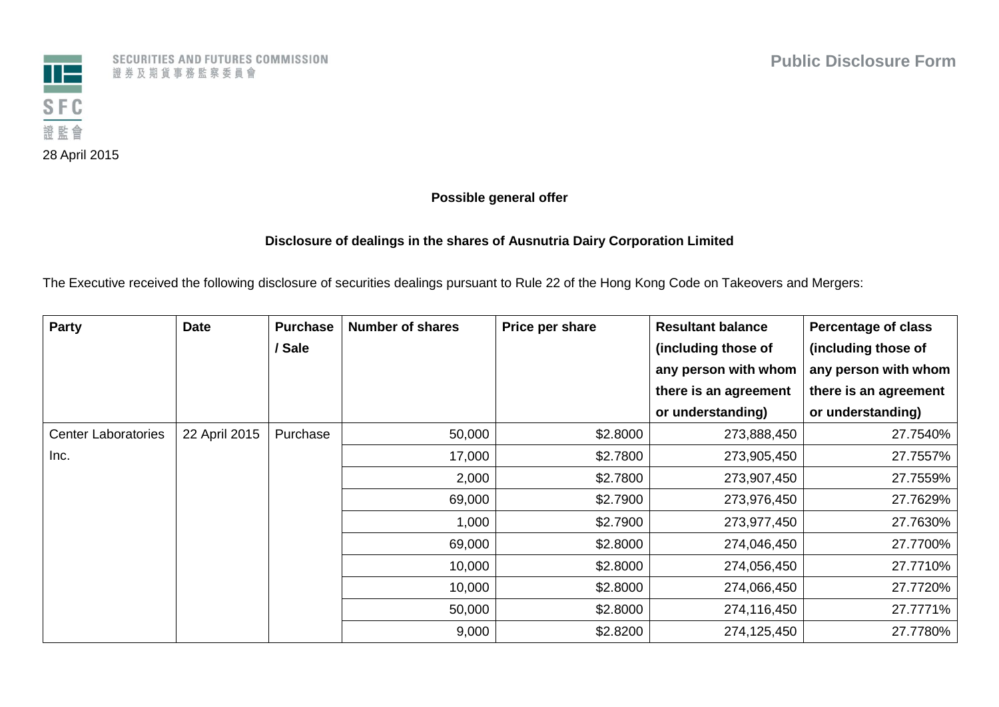

SECURITIES AND FUTURES COMMISSION 證券及期貨事務監察委員會

## **Possible general offer**

## **Disclosure of dealings in the shares of Ausnutria Dairy Corporation Limited**

The Executive received the following disclosure of securities dealings pursuant to Rule 22 of the Hong Kong Code on Takeovers and Mergers:

| Party                      | <b>Date</b>   | <b>Purchase</b> | <b>Number of shares</b> | Price per share | <b>Resultant balance</b> | <b>Percentage of class</b> |  |  |        |          |             |             |          |             |
|----------------------------|---------------|-----------------|-------------------------|-----------------|--------------------------|----------------------------|--|--|--------|----------|-------------|-------------|----------|-------------|
|                            |               | / Sale          |                         |                 | (including those of      | (including those of        |  |  |        |          |             |             |          |             |
|                            |               |                 |                         |                 | any person with whom     | any person with whom       |  |  |        |          |             |             |          |             |
|                            |               |                 |                         |                 | there is an agreement    | there is an agreement      |  |  |        |          |             |             |          |             |
|                            |               |                 |                         |                 | or understanding)        | or understanding)          |  |  |        |          |             |             |          |             |
| <b>Center Laboratories</b> | 22 April 2015 | Purchase        | 50,000                  | \$2.8000        | 273,888,450              | 27.7540%                   |  |  |        |          |             |             |          |             |
| Inc.                       |               |                 | 17,000                  | \$2.7800        | 273,905,450              | 27.7557%                   |  |  |        |          |             |             |          |             |
|                            |               |                 | 2,000                   | \$2.7800        | 273,907,450              | 27.7559%                   |  |  |        |          |             |             |          |             |
|                            |               |                 |                         |                 |                          |                            |  |  | 69,000 | \$2.7900 | 273,976,450 | 27.7629%    |          |             |
|                            |               |                 | 1,000                   | \$2.7900        | 273,977,450              | 27.7630%                   |  |  |        |          |             |             |          |             |
|                            |               |                 |                         |                 |                          |                            |  |  |        | 69,000   | \$2.8000    | 274,046,450 | 27.7700% |             |
|                            |               |                 | 10,000                  | \$2.8000        | 274,056,450              | 27.7710%                   |  |  |        |          |             |             |          |             |
|                            |               |                 |                         |                 |                          |                            |  |  |        |          |             | 10,000      | \$2.8000 | 274,066,450 |
|                            |               |                 |                         |                 |                          |                            |  |  | 50,000 | \$2.8000 | 274,116,450 | 27.7771%    |          |             |
|                            |               |                 | 9,000                   | \$2.8200        | 274,125,450              | 27.7780%                   |  |  |        |          |             |             |          |             |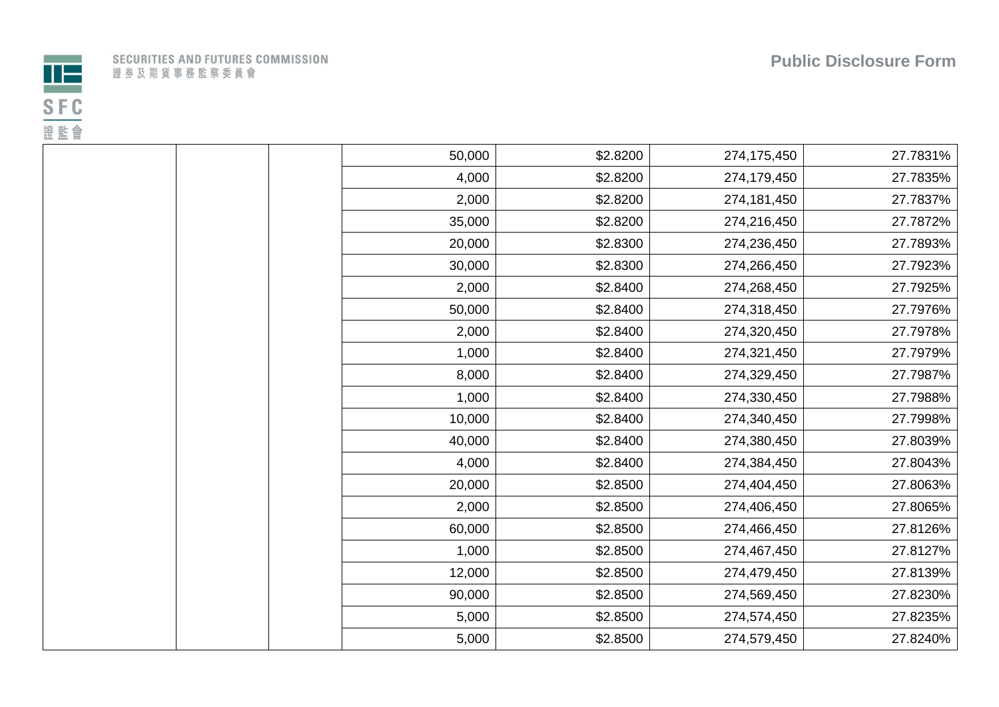



|  |  |                         |  |  |  |  | ECURITIES AND FUTURES COMMISSION |  |  |  |
|--|--|-------------------------|--|--|--|--|----------------------------------|--|--|--|
|  |  | 登 券 及 期 貨 事 務 監 察 委 員 會 |  |  |  |  |                                  |  |  |  |

| 50,000 | \$2.8200 | 274,175,450 | 27.7831% |
|--------|----------|-------------|----------|
| 4,000  | \$2.8200 | 274,179,450 | 27.7835% |
| 2,000  | \$2.8200 | 274,181,450 | 27.7837% |
| 35,000 | \$2.8200 | 274,216,450 | 27.7872% |
| 20,000 | \$2.8300 | 274,236,450 | 27.7893% |
| 30,000 | \$2.8300 | 274,266,450 | 27.7923% |
| 2,000  | \$2.8400 | 274,268,450 | 27.7925% |
| 50,000 | \$2.8400 | 274,318,450 | 27.7976% |
| 2,000  | \$2.8400 | 274,320,450 | 27.7978% |
| 1,000  | \$2.8400 | 274,321,450 | 27.7979% |
| 8,000  | \$2.8400 | 274,329,450 | 27.7987% |
| 1,000  | \$2.8400 | 274,330,450 | 27.7988% |
| 10,000 | \$2.8400 | 274,340,450 | 27.7998% |
| 40,000 | \$2.8400 | 274,380,450 | 27.8039% |
| 4,000  | \$2.8400 | 274,384,450 | 27.8043% |
| 20,000 | \$2.8500 | 274,404,450 | 27.8063% |
| 2,000  | \$2.8500 | 274,406,450 | 27.8065% |
| 60,000 | \$2.8500 | 274,466,450 | 27.8126% |
| 1,000  | \$2.8500 | 274,467,450 | 27.8127% |
| 12,000 | \$2.8500 | 274,479,450 | 27.8139% |
| 90,000 | \$2.8500 | 274,569,450 | 27.8230% |
| 5,000  | \$2.8500 | 274,574,450 | 27.8235% |
| 5,000  | \$2.8500 | 274,579,450 | 27.8240% |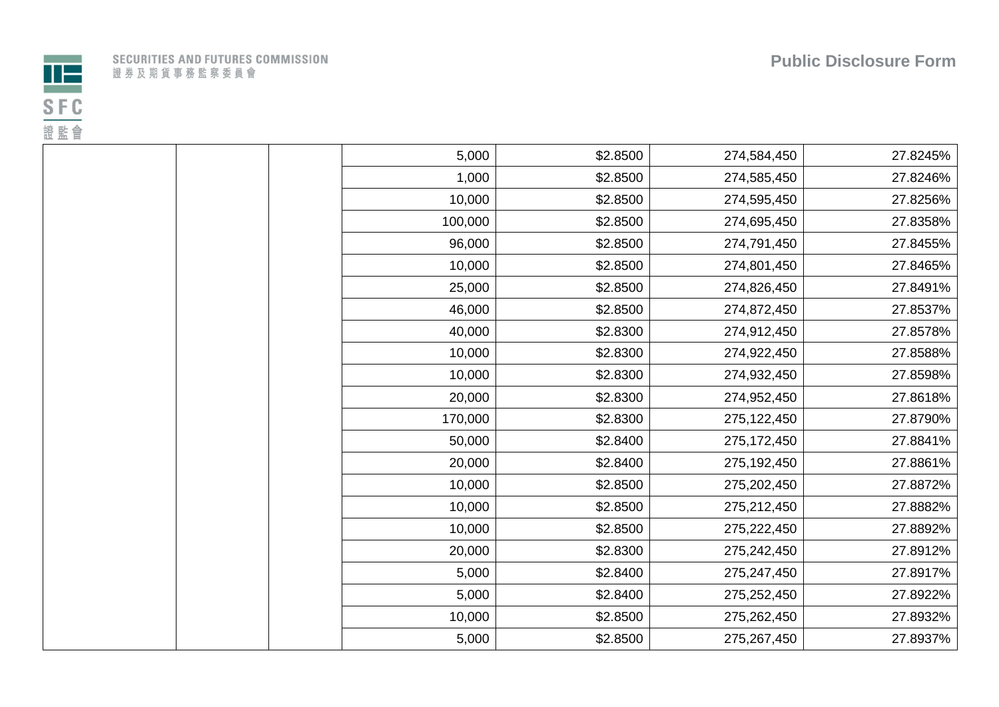



|  |                         |  |  |  |  | SECURITIES AND FUTURES COMMISSION |  |  |
|--|-------------------------|--|--|--|--|-----------------------------------|--|--|
|  | 登 券 及 期 貨 事 務 監 察 委 員 會 |  |  |  |  |                                   |  |  |

| 5,000   | \$2.8500 | 274,584,450 | 27.8245% |
|---------|----------|-------------|----------|
| 1,000   | \$2.8500 | 274,585,450 | 27.8246% |
| 10,000  | \$2.8500 | 274,595,450 | 27.8256% |
| 100,000 | \$2.8500 | 274,695,450 | 27.8358% |
| 96,000  | \$2.8500 | 274,791,450 | 27.8455% |
| 10,000  | \$2.8500 | 274,801,450 | 27.8465% |
| 25,000  | \$2.8500 | 274,826,450 | 27.8491% |
| 46,000  | \$2.8500 | 274,872,450 | 27.8537% |
| 40,000  | \$2.8300 | 274,912,450 | 27.8578% |
| 10,000  | \$2.8300 | 274,922,450 | 27.8588% |
| 10,000  | \$2.8300 | 274,932,450 | 27.8598% |
| 20,000  | \$2.8300 | 274,952,450 | 27.8618% |
| 170,000 | \$2.8300 | 275,122,450 | 27.8790% |
| 50,000  | \$2.8400 | 275,172,450 | 27.8841% |
| 20,000  | \$2.8400 | 275,192,450 | 27.8861% |
| 10,000  | \$2.8500 | 275,202,450 | 27.8872% |
| 10,000  | \$2.8500 | 275,212,450 | 27.8882% |
| 10,000  | \$2.8500 | 275,222,450 | 27.8892% |
| 20,000  | \$2.8300 | 275,242,450 | 27.8912% |
| 5,000   | \$2.8400 | 275,247,450 | 27.8917% |
| 5,000   | \$2.8400 | 275,252,450 | 27.8922% |
| 10,000  | \$2.8500 | 275,262,450 | 27.8932% |
| 5,000   | \$2.8500 | 275,267,450 | 27.8937% |
|         |          |             |          |